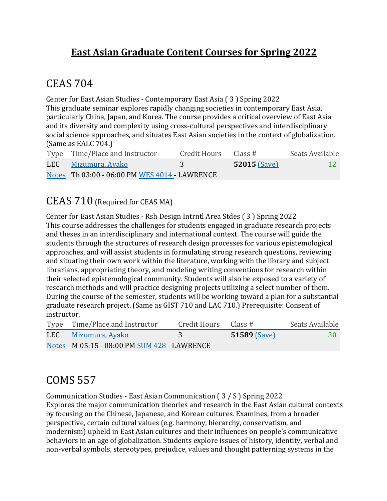#### **East Asian Graduate Content Courses for Spring 2022**

#### CEAS 704

Center for East Asian Studies - Contemporary East Asia (3) Spring 2022 This graduate seminar explores rapidly changing societies in contemporary East Asia, particularly China, Japan, and Korea. The course provides a critical overview of East Asia and its diversity and complexity using cross-cultural perspectives and interdisciplinary social science approaches, and situates East Asian societies in the context of globalization. (Same as EALC 704.)

| Type Time/Place and Instructor                | Credit Hours | Class #        | Seats Available |
|-----------------------------------------------|--------------|----------------|-----------------|
| LEC Mizumura, Ayako                           |              | $52015$ (Save) | -12 -           |
| Notes Th 03:00 - 06:00 PM WES 4014 - LAWRENCE |              |                |                 |

#### CEAS 710 (Required for CEAS MA)

Center for East Asian Studies - Rsh Design Intrntl Area Stdes (3) Spring 2022 This course addresses the challenges for students engaged in graduate research projects and theses in an interdisciplinary and international context. The course will guide the students through the structures of research design processes for various epistemological approaches, and will assist students in formulating strong research questions, reviewing and situating their own work within the literature, working with the library and subject librarians, appropriating theory, and modeling writing conventions for research within their selected epistemological community. Students will also be exposed to a variety of research methods and will practice designing projects utilizing a select number of them. During the course of the semester, students will be working toward a plan for a substantial graduate research project. (Same as GIST 710 and LAC 710.) Prerequisite: Consent of instructor.

| Type Time/Place and Instructor              | Credit Hours Class $#$ |                     | Seats Available |
|---------------------------------------------|------------------------|---------------------|-----------------|
| LEC Mizumura, Ayako                         |                        | <b>51589 (Save)</b> | 30              |
| Notes M 05:15 - 08:00 PM SUM 428 - LAWRENCE |                        |                     |                 |

### COMS 557

Communication Studies - East Asian Communication  $(3/ S)$  Spring 2022 Explores the major communication theories and research in the East Asian cultural contexts by focusing on the Chinese, Japanese, and Korean cultures. Examines, from a broader perspective, certain cultural values (e.g. harmony, hierarchy, conservatism, and modernism) upheld in East Asian cultures and their influences on people's communicative behaviors in an age of globalization. Students explore issues of history, identity, verbal and non-verbal symbols, stereotypes, prejudice, values and thought patterning systems in the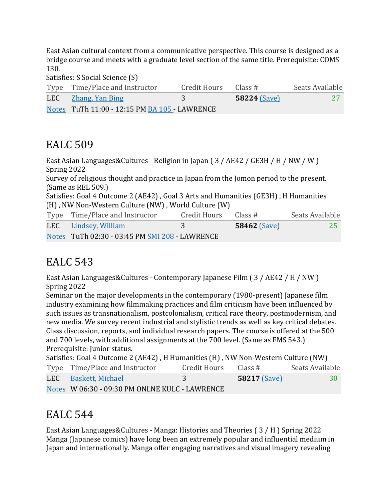East Asian cultural context from a communicative perspective. This course is designed as a bridge course and meets with a graduate level section of the same title. Prerequisite: COMS 130.

Satisfies: S Social Science (S)

| Type Time/Place and Instructor                | Credit Hours | Class #        | Seats Available |
|-----------------------------------------------|--------------|----------------|-----------------|
| LEC Zhang, Yan Bing                           |              | $58224$ (Save) |                 |
| Notes TuTh 11:00 - 12:15 PM BA 105 - LAWRENCE |              |                |                 |

#### EALC 509

East Asian Languages&Cultures - Religion in Japan  $(3 / AE42 / GE3H / H / NW / W)$ Spring 2022 Survey of religious thought and practice in Japan from the Jomon period to the present.  $(Same as REL 509.)$ Satisfies: Goal 4 Outcome 2 (AE42), Goal 3 Arts and Humanities (GE3H), H Humanities (H), NW Non-Western Culture (NW), World Culture (W) Type Time/Place and Instructor Credit Hours Class # Seats Available LEC Lindsey, William 3 **58462** (Save) 25 Notes TuTh 02:30 - 03:45 PM SMI 208 - LAWRENCE

### EALC 543

East Asian Languages&Cultures - Contemporary Japanese Film (3 / AE42 / H / NW) Spring 2022

Seminar on the major developments in the contemporary (1980-present) Japanese film industry examining how filmmaking practices and film criticism have been influenced by such issues as transnationalism, postcolonialism, critical race theory, postmodernism, and new media. We survey recent industrial and stylistic trends as well as key critical debates. Class discussion, reports, and individual research papers. The course is offered at the 500 and 700 levels, with additional assignments at the 700 level. (Same as FMS 543.) Prerequisite: Junior status.

| Satisfies: Goal 4 Outcome 2 (AE42), H Humanities (H), NW Non-Western Culture (NW) |                                                |                      |                     |                 |
|-----------------------------------------------------------------------------------|------------------------------------------------|----------------------|---------------------|-----------------|
|                                                                                   | Type Time/Place and Instructor                 | Credit Hours Class # |                     | Seats Available |
|                                                                                   | LEC Baskett, Michael                           | -3.                  | <b>58217 (Save)</b> | 30              |
|                                                                                   | Notes W 06:30 - 09:30 PM ONLNE KULC - LAWRENCE |                      |                     |                 |

# **EALC** 544

East Asian Languages&Cultures - Manga: Histories and Theories  $(3/H)$  Spring 2022 Manga (Japanese comics) have long been an extremely popular and influential medium in Japan and internationally. Manga offer engaging narratives and visual imagery revealing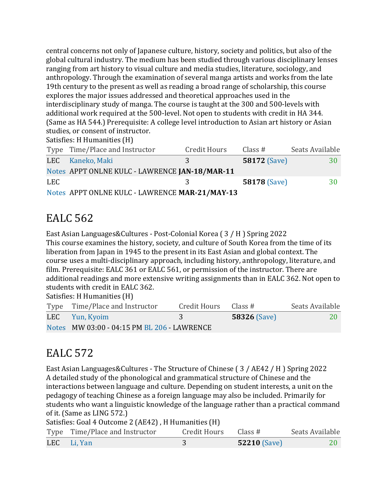central concerns not only of Japanese culture, history, society and politics, but also of the global cultural industry. The medium has been studied through various disciplinary lenses ranging from art history to visual culture and media studies, literature, sociology, and anthropology. Through the examination of several manga artists and works from the late 19th century to the present as well as reading a broad range of scholarship, this course explores the major issues addressed and theoretical approaches used in the interdisciplinary study of manga. The course is taught at the 300 and 500-levels with additional work required at the 500-level. Not open to students with credit in HA 344. (Same as HA 544.) Prerequisite: A college level introduction to Asian art history or Asian studies, or consent of instructor.

|  |  | Satisfies: H Humanities (H) |  |
|--|--|-----------------------------|--|
|--|--|-----------------------------|--|

|     | Type Time/Place and Instructor                 | <b>Credit Hours</b> | Class $#$           | Seats Available |
|-----|------------------------------------------------|---------------------|---------------------|-----------------|
|     | LEC Kaneko, Maki                               | 3                   | <b>58172 (Save)</b> | 30              |
|     | Notes APPT ONLNE KULC - LAWRENCE JAN-18/MAR-11 |                     |                     |                 |
| LEC |                                                | २                   | <b>58178 (Save)</b> | 30              |
|     | Notes APPT ONLNE KULC - LAWRENCE MAR-21/MAY-13 |                     |                     |                 |

### EALC 562

East Asian Languages&Cultures - Post-Colonial Korea (3 / H ) Spring 2022 This course examines the history, society, and culture of South Korea from the time of its liberation from Japan in 1945 to the present in its East Asian and global context. The course uses a multi-disciplinary approach, including history, anthropology, literature, and film. Prerequisite: EALC 361 or EALC 561, or permission of the instructor. There are additional readings and more extensive writing assignments than in EALC 362. Not open to students with credit in EALC 362.

Satisfies: H Humanities (H)

| Type Time/Place and Instructor              | Credit Hours | Class #             | Seats Available |
|---------------------------------------------|--------------|---------------------|-----------------|
| LEC Yun, Kyoim                              |              | <b>58326 (Save)</b> | <b>20</b>       |
| Notes MW 03:00 - 04:15 PM BL 206 - LAWRENCE |              |                     |                 |

### EALC 572

East Asian Languages&Cultures - The Structure of Chinese (3 / AE42 / H ) Spring 2022 A detailed study of the phonological and grammatical structure of Chinese and the interactions between language and culture. Depending on student interests, a unit on the pedagogy of teaching Chinese as a foreign language may also be included. Primarily for students who want a linguistic knowledge of the language rather than a practical command of it. (Same as LING 572.)

Satisfies: Goal 4 Outcome 2 (AE42), H Humanities (H)

| Type Time/Place and Instructor | Credit Hours Class # |                | Seats Available |
|--------------------------------|----------------------|----------------|-----------------|
| LEC Li, Yan                    |                      | $52210$ (Save) |                 |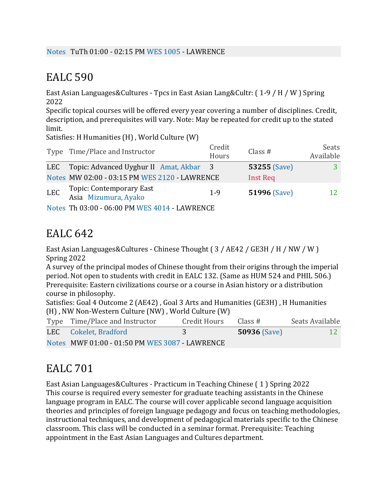East Asian Languages&Cultures - Tpcs in East Asian Lang&Cultr: (1-9 / H / W ) Spring 2022

Specific topical courses will be offered every year covering a number of disciplines. Credit, description, and prerequisites will vary. Note: May be repeated for credit up to the stated limit.

Satisfies: H Humanities  $(H)$ , World Culture  $(W)$ 

|            | Type Time/Place and Instructor                   | Credit<br>Hours | Class $#$           | Seats<br>Available |
|------------|--------------------------------------------------|-----------------|---------------------|--------------------|
| LEC        | Topic: Advanced Uyghur II Amat, Akbar            | $\overline{3}$  | <b>53255 (Save)</b> |                    |
|            | Notes MW 02:00 - 03:15 PM WES 2120 - LAWRENCE    |                 | <b>Inst Req</b>     |                    |
| <b>LEC</b> | Topic: Contemporary East<br>Asia Mizumura, Ayako | $1 - 9$         | <b>51996 (Save)</b> | 12                 |
|            | Notes Th 03:00 - 06:00 PM WES 4014 - LAWRENCE    |                 |                     |                    |

## EALC 642

East Asian Languages&Cultures - Chinese Thought (3 / AE42 / GE3H / H / NW / W ) Spring 2022

A survey of the principal modes of Chinese thought from their origins through the imperial period. Not open to students with credit in EALC 132. (Same as HUM 524 and PHIL 506.) Prerequisite: Eastern civilizations course or a course in Asian history or a distribution course in philosophy.

Satisfies: Goal 4 Outcome 2 (AE42), Goal 3 Arts and Humanities (GE3H), H Humanities (H), NW Non-Western Culture (NW), World Culture (W)

| Type Time/Place and Instructor                 | Credit Hours | Class #             | Seats Available |
|------------------------------------------------|--------------|---------------------|-----------------|
| LEC Cokelet, Bradford                          |              | <b>50936 (Save)</b> | <b>12</b>       |
| Notes MWF 01:00 - 01:50 PM WES 3087 - LAWRENCE |              |                     |                 |

# EALC 701

East Asian Languages&Cultures - Practicum in Teaching Chinese  $(1)$  Spring 2022 This course is required every semester for graduate teaching assistants in the Chinese language program in EALC. The course will cover applicable second language acquisition theories and principles of foreign language pedagogy and focus on teaching methodologies, instructional techniques, and development of pedagogical materials specific to the Chinese classroom. This class will be conducted in a seminar format. Prerequisite: Teaching appointment in the East Asian Languages and Cultures department.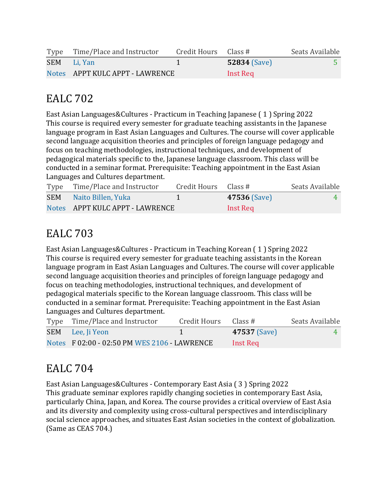| Type Time/Place and Instructor  | Credit Hours $\;$ Class # |                | Seats Available |
|---------------------------------|---------------------------|----------------|-----------------|
| SEM Li, Yan                     |                           | $52834$ (Save) |                 |
| Notes APPT KULC APPT - LAWRENCE |                           | Inst Req       |                 |

East Asian Languages&Cultures - Practicum in Teaching Japanese (1) Spring 2022 This course is required every semester for graduate teaching assistants in the Japanese language program in East Asian Languages and Cultures. The course will cover applicable second language acquisition theories and principles of foreign language pedagogy and focus on teaching methodologies, instructional techniques, and development of pedagogical materials specific to the, Japanese language classroom. This class will be conducted in a seminar format. Prerequisite: Teaching appointment in the East Asian Languages and Cultures department.

| Type Time/Place and Instructor  | Credit Hours Class # |                     | Seats Available |
|---------------------------------|----------------------|---------------------|-----------------|
| <b>SEM</b> Naito Billen, Yuka   |                      | <b>47536 (Save)</b> |                 |
| Notes APPT KULC APPT - LAWRENCE |                      | Inst Req            |                 |

# EALC 703

East Asian Languages&Cultures - Practicum in Teaching Korean (1) Spring 2022 This course is required every semester for graduate teaching assistants in the Korean language program in East Asian Languages and Cultures. The course will cover applicable second language acquisition theories and principles of foreign language pedagogy and focus on teaching methodologies, instructional techniques, and development of pedagogical materials specific to the Korean language classroom. This class will be conducted in a seminar format. Prerequisite: Teaching appointment in the East Asian Languages and Cultures department.

| Type Time/Place and Instructor               | Credit Hours | Class #             | Seats Available |
|----------------------------------------------|--------------|---------------------|-----------------|
| SEM Lee, Ji Yeon                             |              | <b>47537 (Save)</b> |                 |
| Notes F 02:00 - 02:50 PM WES 2106 - LAWRENCE |              | Inst Req            |                 |

# EALC 704

East Asian Languages&Cultures - Contemporary East Asia (3) Spring 2022 This graduate seminar explores rapidly changing societies in contemporary East Asia, particularly China, Japan, and Korea. The course provides a critical overview of East Asia and its diversity and complexity using cross-cultural perspectives and interdisciplinary social science approaches, and situates East Asian societies in the context of globalization. (Same as CEAS 704.)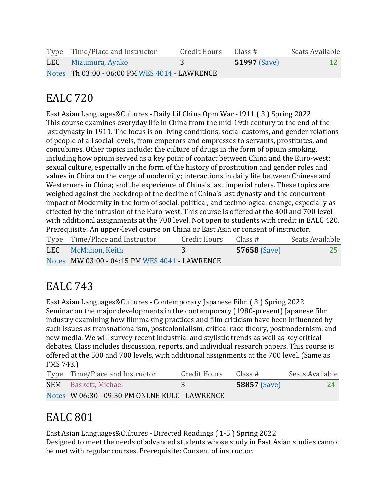| Type Time/Place and Instructor                | Credit Hours | Class #             | Seats Available |
|-----------------------------------------------|--------------|---------------------|-----------------|
| LEC Mizumura, Ayako                           |              | <b>51997</b> (Save) | <b>12</b>       |
| Notes Th 03:00 - 06:00 PM WES 4014 - LAWRENCE |              |                     |                 |

East Asian Languages&Cultures - Daily Lif China Opm War -1911 (3) Spring 2022 This course examines everyday life in China from the mid-19th century to the end of the last dynasty in 1911. The focus is on living conditions, social customs, and gender relations of people of all social levels, from emperors and empresses to servants, prostitutes, and concubines. Other topics include: the culture of drugs in the form of opium smoking, including how opium served as a key point of contact between China and the Euro-west; sexual culture, especially in the form of the history of prostitution and gender roles and values in China on the verge of modernity; interactions in daily life between Chinese and Westerners in China; and the experience of China's last imperial rulers. These topics are weighed against the backdrop of the decline of China's last dynasty and the concurrent impact of Modernity in the form of social, political, and technological change, especially as effected by the intrusion of the Euro-west. This course is offered at the 400 and 700 level with additional assignments at the 700 level. Not open to students with credit in EALC 420. Prerequisite: An upper-level course on China or East Asia or consent of instructor.

| Type Time/Place and Instructor                | Credit Hours | Class #             | Seats Available |
|-----------------------------------------------|--------------|---------------------|-----------------|
| LEC McMahon, Keith                            |              | <b>57658 (Save)</b> | <b>25</b>       |
| Notes MW 03:00 - 04:15 PM WES 4041 - LAWRENCE |              |                     |                 |

# EALC 743

East Asian Languages&Cultures - Contemporary Japanese Film (3) Spring 2022 Seminar on the major developments in the contemporary (1980-present) Japanese film industry examining how filmmaking practices and film criticism have been influenced by such issues as transnationalism, postcolonialism, critical race theory, postmodernism, and new media. We will survey recent industrial and stylistic trends as well as key critical debates. Class includes discussion, reports, and individual research papers. This course is offered at the 500 and 700 levels, with additional assignments at the 700 level. (Same as FMS 743.)

| Type Time/Place and Instructor                 | Credit Hours | Class #             | Seats Available |
|------------------------------------------------|--------------|---------------------|-----------------|
| <b>SEM</b> Baskett, Michael                    |              | <b>58857</b> (Save) | 24              |
| Notes W 06:30 - 09:30 PM ONLNE KULC - LAWRENCE |              |                     |                 |

# **EALC** 801

East Asian Languages&Cultures - Directed Readings (1-5) Spring 2022 Designed to meet the needs of advanced students whose study in East Asian studies cannot be met with regular courses. Prerequisite: Consent of instructor.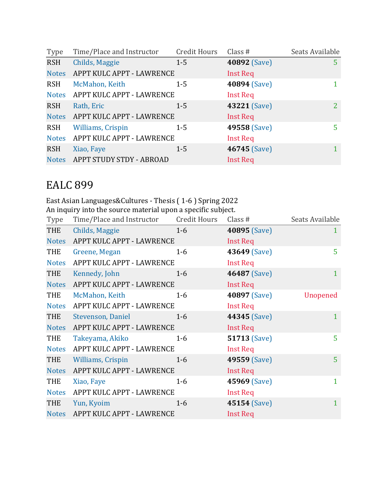| Type         | Time/Place and Instructor       | <b>Credit Hours</b> | Class $#$       | Seats Available |
|--------------|---------------------------------|---------------------|-----------------|-----------------|
| <b>RSH</b>   | Childs, Maggie                  | $1 - 5$             | 40892 (Save)    | 5               |
| <b>Notes</b> | APPT KULC APPT - LAWRENCE       |                     | Inst Req        |                 |
| <b>RSH</b>   | McMahon, Keith                  | $1 - 5$             | 40894 (Save)    |                 |
| <b>Notes</b> | APPT KULC APPT - LAWRENCE       |                     | <b>Inst Req</b> |                 |
| <b>RSH</b>   | Rath, Eric                      | $1 - 5$             | 43221 (Save)    | 2               |
| <b>Notes</b> | APPT KULC APPT - LAWRENCE       |                     | Inst Req        |                 |
| <b>RSH</b>   | <b>Williams, Crispin</b>        | $1 - 5$             | 49558 (Save)    | 5               |
|              | Notes APPT KULC APPT - LAWRENCE |                     | <b>Inst Req</b> |                 |
| <b>RSH</b>   | Xiao, Faye                      | $1 - 5$             | 46745 (Save)    | 1               |
| <b>Notes</b> | APPT STUDY STDY - ABROAD        |                     | <b>Inst Req</b> |                 |

East Asian Languages&Cultures - Thesis (1-6) Spring 2022 An inquiry into the source material upon a specific subject.

| Type         | Time/Place and Instructor | <b>Credit Hours</b> | Class #             | Seats Available |
|--------------|---------------------------|---------------------|---------------------|-----------------|
| <b>THE</b>   | Childs, Maggie            | $1-6$               | 40895 (Save)        | $\mathbf{1}$    |
| <b>Notes</b> | APPT KULC APPT - LAWRENCE |                     | <b>Inst Req</b>     |                 |
| THE          | Greene, Megan             | $1-6$               | 43649 (Save)        | 5               |
| <b>Notes</b> | APPT KULC APPT - LAWRENCE |                     | <b>Inst Req</b>     |                 |
| THE          | Kennedy, John             | $1-6$               | 46487 (Save)        | $\mathbf{1}$    |
| <b>Notes</b> | APPT KULC APPT - LAWRENCE |                     | <b>Inst Req</b>     |                 |
| THE          | McMahon, Keith            | $1-6$               | 40897 (Save)        | Unopened        |
| <b>Notes</b> | APPT KULC APPT - LAWRENCE |                     | <b>Inst Req</b>     |                 |
| THE          | Stevenson, Daniel         | $1-6$               | 44345 (Save)        | $\mathbf{1}$    |
| <b>Notes</b> | APPT KULC APPT - LAWRENCE |                     | <b>Inst Req</b>     |                 |
| THE          | Takeyama, Akiko           | $1-6$               | <b>51713 (Save)</b> | 5               |
| <b>Notes</b> | APPT KULC APPT - LAWRENCE |                     | <b>Inst Req</b>     |                 |
| THE          | <b>Williams, Crispin</b>  | $1-6$               | 49559 (Save)        | 5 <sup>1</sup>  |
| <b>Notes</b> | APPT KULC APPT - LAWRENCE |                     | <b>Inst Req</b>     |                 |
| <b>THE</b>   | Xiao, Faye                | $1-6$               | 45969 (Save)        | $\mathbf{1}$    |
| <b>Notes</b> | APPT KULC APPT - LAWRENCE |                     | <b>Inst Req</b>     |                 |
| THE          | Yun, Kyoim                | $1-6$               | 45154 (Save)        | $\mathbf{1}$    |
| <b>Notes</b> | APPT KULC APPT - LAWRENCE |                     | <b>Inst Req</b>     |                 |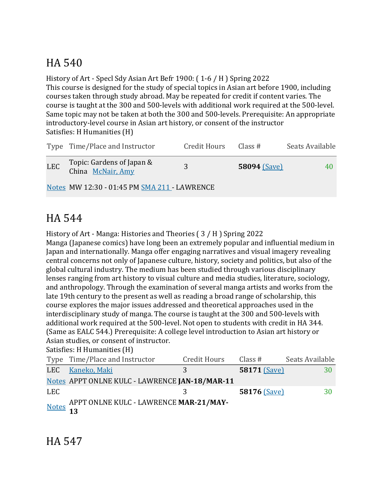# HA 540

History of Art - Specl Sdy Asian Art Befr 1900:  $(1-6/H)$  Spring 2022 This course is designed for the study of special topics in Asian art before 1900, including courses taken through study abroad. May be repeated for credit if content varies. The course is taught at the 300 and 500-levels with additional work required at the 500-level. Same topic may not be taken at both the 300 and 500-levels. Prerequisite: An appropriate introductory-level course in Asian art history, or consent of the instructor Satisfies: H Humanities (H)

|                                              | Type Time/Place and Instructor                 | <b>Credit Hours</b> | Class #             | Seats Available |
|----------------------------------------------|------------------------------------------------|---------------------|---------------------|-----------------|
| <b>LEC</b>                                   | Topic: Gardens of Japan &<br>China McNair, Amy | 3                   | <b>58094 (Save)</b> | 40              |
| Notes MW 12:30 - 01:45 PM SMA 211 - LAWRENCE |                                                |                     |                     |                 |

#### HA 544

History of Art - Manga: Histories and Theories  $(3/H)$  Spring 2022

Manga (Japanese comics) have long been an extremely popular and influential medium in Japan and internationally. Manga offer engaging narratives and visual imagery revealing central concerns not only of Japanese culture, history, society and politics, but also of the global cultural industry. The medium has been studied through various disciplinary lenses ranging from art history to visual culture and media studies, literature, sociology, and anthropology. Through the examination of several manga artists and works from the late 19th century to the present as well as reading a broad range of scholarship, this course explores the major issues addressed and theoretical approaches used in the interdisciplinary study of manga. The course is taught at the 300 and 500-levels with additional work required at the 500-level. Not open to students with credit in HA 344. (Same as EALC 544.) Prerequisite: A college level introduction to Asian art history or Asian studies, or consent of instructor.

Satisfies: H Humanities (H)

|      | Type Time/Place and Instructor                 | <b>Credit Hours</b> | Class #      | Seats Available |
|------|------------------------------------------------|---------------------|--------------|-----------------|
| LEC  | Kaneko, Maki                                   | 3                   | 58171 (Save) | 30              |
|      | Notes APPT ONLNE KULC - LAWRENCE JAN-18/MAR-11 |                     |              |                 |
| LEC. |                                                |                     | 58176 (Save) | 30              |
|      | Notes APPT ONLNE KULC - LAWRENCE MAR-21/MAY-   |                     |              |                 |

HA 547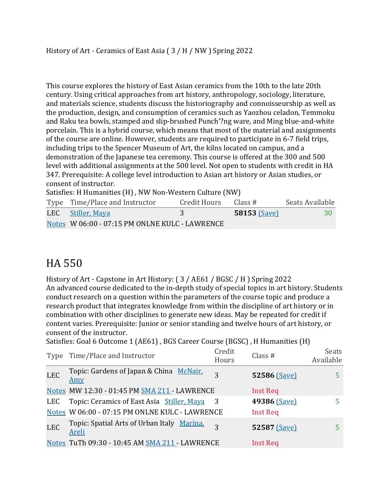This course explores the history of East Asian ceramics from the 10th to the late 20th century. Using critical approaches from art history, anthropology, sociology, literature, and materials science, students discuss the historiography and connoisseurship as well as the production, design, and consumption of ceramics such as Yaozhou celadon, Temmoku and Raku tea bowls, stamped and slip-brushed Punch'?ng ware, and Ming blue-and-white porcelain. This is a hybrid course, which means that most of the material and assignments of the course are online. However, students are required to participate in 6-7 field trips, including trips to the Spencer Museum of Art, the kilns located on campus, and a demonstration of the Japanese tea ceremony. This course is offered at the 300 and 500 level with additional assignments at the 500 level. Not open to students with credit in HA 347. Prerequisite: A college level introduction to Asian art history or Asian studies, or consent of instructor.

Satisfies: H Humanities (H), NW Non-Western Culture (NW)

| Type Time/Place and Instructor                 | Credit Hours | Class #             | Seats Available |
|------------------------------------------------|--------------|---------------------|-----------------|
| LEC Stiller, Maya                              |              | <b>58153 (Save)</b> | -30-            |
| Notes W 06:00 - 07:15 PM ONLNE KULC - LAWRENCE |              |                     |                 |

### HA 550

History of Art - Capstone in Art History: (3 / AE61 / BGSC / H ) Spring 2022 An advanced course dedicated to the in-depth study of special topics in art history. Students conduct research on a question within the parameters of the course topic and produce a research product that integrates knowledge from within the discipline of art history or in combination with other disciplines to generate new ideas. May be repeated for credit if content varies. Prerequisite: Junior or senior standing and twelve hours of art history, or consent of the instructor.

Satisfies: Goal 6 Outcome 1 (AE61), BGS Career Course (BGSC), H Humanities (H)

| Type       | Time/Place and Instructor                             | Credit<br>Hours | Class $#$       | <b>Seats</b><br>Available |
|------------|-------------------------------------------------------|-----------------|-----------------|---------------------------|
| <b>LEC</b> | Topic: Gardens of Japan & China McNair,<br><u>Amy</u> | 3               | 52586 (Save)    |                           |
|            | Notes MW 12:30 - 01:45 PM SMA 211 - LAWRENCE          |                 | <b>Inst Req</b> |                           |
| LEC        | Topic: Ceramics of East Asia Stiller, Maya            |                 | 49386 (Save)    |                           |
|            | Notes W 06:00 - 07:15 PM ONLNE KULC - LAWRENCE        |                 | <b>Inst Req</b> |                           |
| <b>LEC</b> | Topic: Spatial Arts of Urban Italy Marina,<br>Areli   | 3               | 52587 (Save)    |                           |
|            | Notes TuTh 09:30 - 10:45 AM SMA 211 - LAWRENCE        |                 | <b>Inst Req</b> |                           |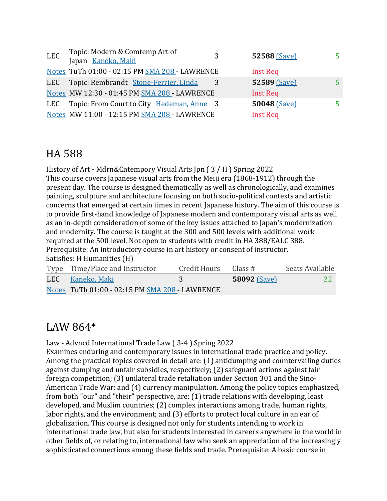| <b>LEC</b> | Topic: Modern & Comtemp Art of<br>Japan Kaneko, Maki | 3 | 52588 (Save)    | 5  |
|------------|------------------------------------------------------|---|-----------------|----|
|            | Notes TuTh 01:00 - 02:15 PM SMA 208 - LAWRENCE       |   | Inst Req        |    |
|            | LEC Topic: Rembrandt Stone-Ferrier, Linda            |   | 52589 (Save)    | 5. |
|            | Notes MW 12:30 - 01:45 PM SMA 208 - LAWRENCE         |   | Inst Req        |    |
| LEC.       | Topic: From Court to City Hedeman, Anne 3            |   | 50048 (Save)    | 5. |
|            | Notes MW 11:00 - 12:15 PM SMA 208 - LAWRENCE         |   | <b>Inst Req</b> |    |
|            |                                                      |   |                 |    |

#### HA 588

History of Art - Mdrn&Cntempory Visual Arts [pn  $(3/H)$  Spring 2022 This course covers Japanese visual arts from the Meiji era (1868-1912) through the present day. The course is designed thematically as well as chronologically, and examines painting, sculpture and architecture focusing on both socio-political contexts and artistic concerns that emerged at certain times in recent Japanese history. The aim of this course is to provide first-hand knowledge of Japanese modern and contemporary visual arts as well as an in-depth consideration of some of the key issues attached to Japan's modernization and modernity. The course is taught at the 300 and 500 levels with additional work required at the 500 level. Not open to students with credit in HA 388/EALC 388. Prerequisite: An introductory course in art history or consent of instructor. Satisfies: H Humanities (H)

| Type Time/Place and Instructor                 | Credit Hours Class # |                     | Seats Available |
|------------------------------------------------|----------------------|---------------------|-----------------|
| LEC Kaneko, Maki                               |                      | <b>58092 (Save)</b> | <b>22</b>       |
| Notes TuTh 01:00 - 02:15 PM SMA 208 - LAWRENCE |                      |                     |                 |

#### LAW 864\*

Law - Advncd International Trade Law (3-4) Spring 2022

Examines enduring and contemporary issues in international trade practice and policy. Among the practical topics covered in detail are:  $(1)$  antidumping and countervailing duties against dumping and unfair subsidies, respectively; (2) safeguard actions against fair foreign competition;  $(3)$  unilateral trade retaliation under Section 301 and the Sino-American Trade War; and (4) currency manipulation. Among the policy topics emphasized, from both "our" and "their" perspective, are: (1) trade relations with developing, least developed, and Muslim countries; (2) complex interactions among trade, human rights, labor rights, and the environment; and (3) efforts to protect local culture in an ear of globalization. This course is designed not only for students intending to work in international trade law, but also for students interested in careers anywhere in the world in other fields of, or relating to, international law who seek an appreciation of the increasingly sophisticated connections among these fields and trade. Prerequisite: A basic course in